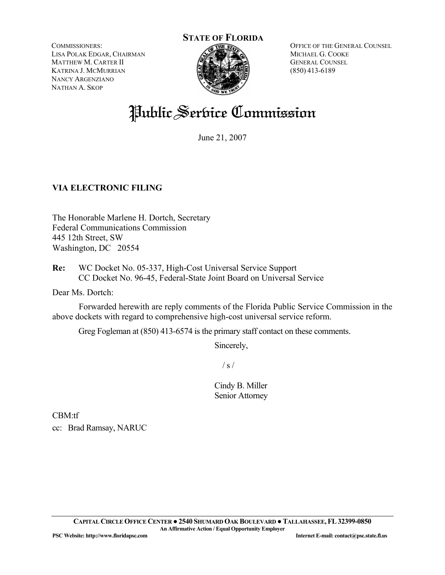COMMISSIONERS: LISA POLAK EDGAR, CHAIRMAN MATTHEW M. CARTER II KATRINA J. MCMURRIAN NANCY ARGENZIANO NATHAN A. SKOP

# **STATE OF FLORIDA**

OFFICE OF THE GENERAL COUNSEL MICHAEL G. COOKE GENERAL COUNSEL (850) 413-6189

## Public Service Commission

June 21, 2007

#### **VIA ELECTRONIC FILING**

The Honorable Marlene H. Dortch, Secretary Federal Communications Commission 445 12th Street, SW Washington, DC 20554

**Re:** WC Docket No. 05-337, High-Cost Universal Service Support CC Docket No. 96-45, Federal-State Joint Board on Universal Service

Dear Ms. Dortch:

 Forwarded herewith are reply comments of the Florida Public Service Commission in the above dockets with regard to comprehensive high-cost universal service reform.

Greg Fogleman at (850) 413-6574 is the primary staff contact on these comments.

Sincerely,

 $/ s /$ 

Cindy B. Miller Senior Attorney

CBM:tf cc: Brad Ramsay, NARUC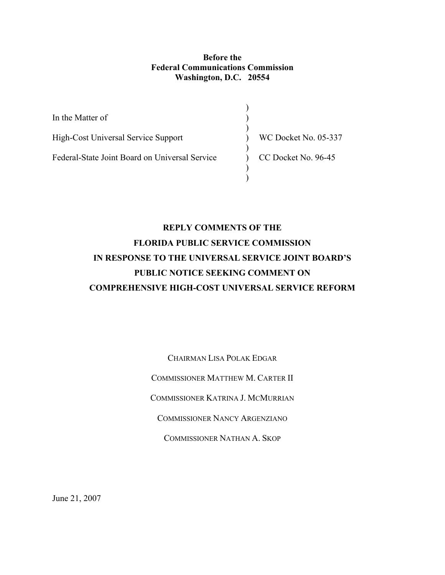#### **Before the Federal Communications Commission Washington, D.C. 20554**

| In the Matter of                               |                      |
|------------------------------------------------|----------------------|
| High-Cost Universal Service Support            | WC Docket No. 05-337 |
| Federal-State Joint Board on Universal Service | CC Docket No. 96-45  |
|                                                |                      |

### **REPLY COMMENTS OF THE FLORIDA PUBLIC SERVICE COMMISSION IN RESPONSE TO THE UNIVERSAL SERVICE JOINT BOARD'S PUBLIC NOTICE SEEKING COMMENT ON COMPREHENSIVE HIGH-COST UNIVERSAL SERVICE REFORM**

CHAIRMAN LISA POLAK EDGAR COMMISSIONER MATTHEW M. CARTER II COMMISSIONER KATRINA J. MCMURRIAN COMMISSIONER NANCY ARGENZIANO COMMISSIONER NATHAN A. SKOP

June 21, 2007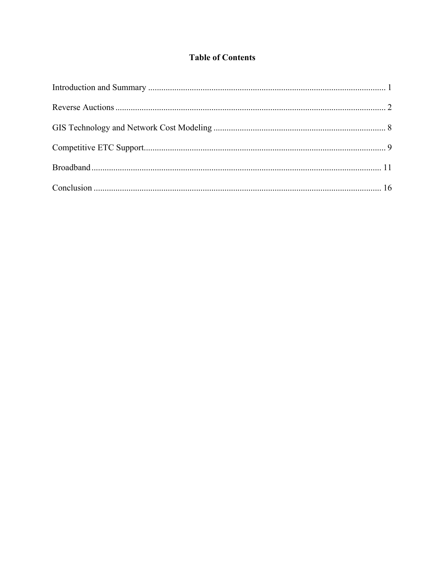#### **Table of Contents**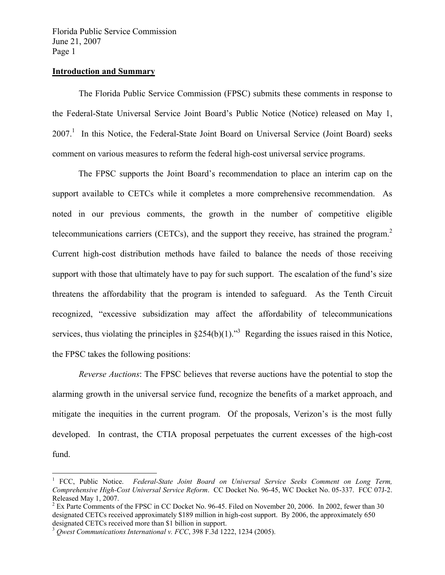#### **Introduction and Summary**

 The Florida Public Service Commission (FPSC) submits these comments in response to the Federal-State Universal Service Joint Board's Public Notice (Notice) released on May 1, 2007.<sup>1</sup> In this Notice, the Federal-State Joint Board on Universal Service (Joint Board) seeks comment on various measures to reform the federal high-cost universal service programs.

 The FPSC supports the Joint Board's recommendation to place an interim cap on the support available to CETCs while it completes a more comprehensive recommendation. As noted in our previous comments, the growth in the number of competitive eligible telecommunications carriers (CETCs), and the support they receive, has strained the program.<sup>2</sup> Current high-cost distribution methods have failed to balance the needs of those receiving support with those that ultimately have to pay for such support. The escalation of the fund's size threatens the affordability that the program is intended to safeguard. As the Tenth Circuit recognized, "excessive subsidization may affect the affordability of telecommunications services, thus violating the principles in  $\S254(b)(1)$ ."<sup>3</sup> Regarding the issues raised in this Notice, the FPSC takes the following positions:

 *Reverse Auctions*: The FPSC believes that reverse auctions have the potential to stop the alarming growth in the universal service fund, recognize the benefits of a market approach, and mitigate the inequities in the current program. Of the proposals, Verizon's is the most fully developed. In contrast, the CTIA proposal perpetuates the current excesses of the high-cost fund.

<sup>&</sup>lt;sup>1</sup> FCC, Public Notice. *Federal-State Joint Board on Universal Service Seeks Comment on Long Term, Comprehensive High-Cost Universal Service Reform*. CC Docket No. 96-45, WC Docket No. 05-337. FCC 07J-2. Released May 1, 2007.

 $2^{2}$  Ex Parte Comments of the FPSC in CC Docket No. 96-45. Filed on November 20, 2006. In 2002, fewer than 30 designated CETCs received approximately \$189 million in high-cost support. By 2006, the approximately 650 designated CETCs received more than \$1 billion in support. 3 *Qwest Communications International v. FCC*, 398 F.3d 1222, 1234 (2005).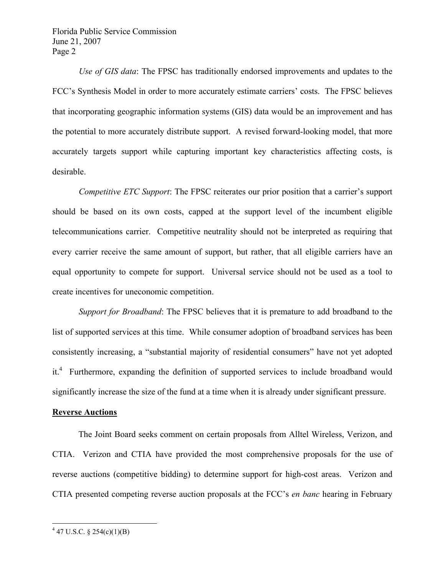*Use of GIS data*: The FPSC has traditionally endorsed improvements and updates to the FCC's Synthesis Model in order to more accurately estimate carriers' costs. The FPSC believes that incorporating geographic information systems (GIS) data would be an improvement and has the potential to more accurately distribute support. A revised forward-looking model, that more accurately targets support while capturing important key characteristics affecting costs, is desirable.

 *Competitive ETC Support*: The FPSC reiterates our prior position that a carrier's support should be based on its own costs, capped at the support level of the incumbent eligible telecommunications carrier. Competitive neutrality should not be interpreted as requiring that every carrier receive the same amount of support, but rather, that all eligible carriers have an equal opportunity to compete for support. Universal service should not be used as a tool to create incentives for uneconomic competition.

 *Support for Broadband*: The FPSC believes that it is premature to add broadband to the list of supported services at this time. While consumer adoption of broadband services has been consistently increasing, a "substantial majority of residential consumers" have not yet adopted it.<sup>4</sup> Furthermore, expanding the definition of supported services to include broadband would significantly increase the size of the fund at a time when it is already under significant pressure.

#### **Reverse Auctions**

 The Joint Board seeks comment on certain proposals from Alltel Wireless, Verizon, and CTIA. Verizon and CTIA have provided the most comprehensive proposals for the use of reverse auctions (competitive bidding) to determine support for high-cost areas. Verizon and CTIA presented competing reverse auction proposals at the FCC's *en banc* hearing in February

<u>.</u>

 $4\,47$  U.S.C. § 254(c)(1)(B)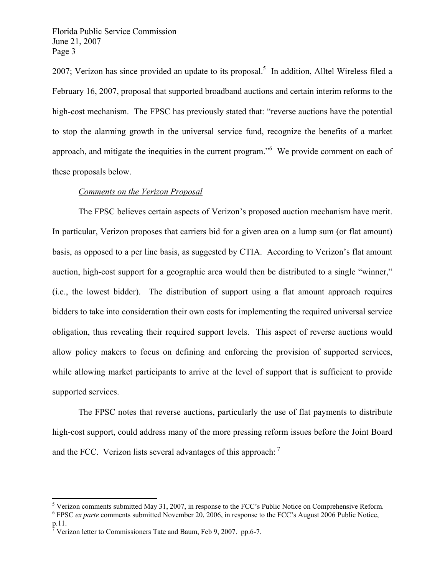2007; Verizon has since provided an update to its proposal.<sup>5</sup> In addition, Alltel Wireless filed a February 16, 2007, proposal that supported broadband auctions and certain interim reforms to the high-cost mechanism. The FPSC has previously stated that: "reverse auctions have the potential to stop the alarming growth in the universal service fund, recognize the benefits of a market approach, and mitigate the inequities in the current program." We provide comment on each of these proposals below.

#### *Comments on the Verizon Proposal*

The FPSC believes certain aspects of Verizon's proposed auction mechanism have merit. In particular, Verizon proposes that carriers bid for a given area on a lump sum (or flat amount) basis, as opposed to a per line basis, as suggested by CTIA. According to Verizon's flat amount auction, high-cost support for a geographic area would then be distributed to a single "winner," (i.e., the lowest bidder). The distribution of support using a flat amount approach requires bidders to take into consideration their own costs for implementing the required universal service obligation, thus revealing their required support levels. This aspect of reverse auctions would allow policy makers to focus on defining and enforcing the provision of supported services, while allowing market participants to arrive at the level of support that is sufficient to provide supported services.

The FPSC notes that reverse auctions, particularly the use of flat payments to distribute high-cost support, could address many of the more pressing reform issues before the Joint Board and the FCC. Verizon lists several advantages of this approach:  $<sup>7</sup>$ </sup>

<sup>&</sup>lt;sup>5</sup> Verizon comments submitted May 31, 2007, in response to the FCC's Public Notice on Comprehensive Reform.

<sup>&</sup>lt;sup>6</sup> FPSC *ex parte* comments submitted November 20, 2006, in response to the FCC's August 2006 Public Notice, p.11.

 $\sqrt{7}$  Verizon letter to Commissioners Tate and Baum, Feb 9, 2007. pp.6-7.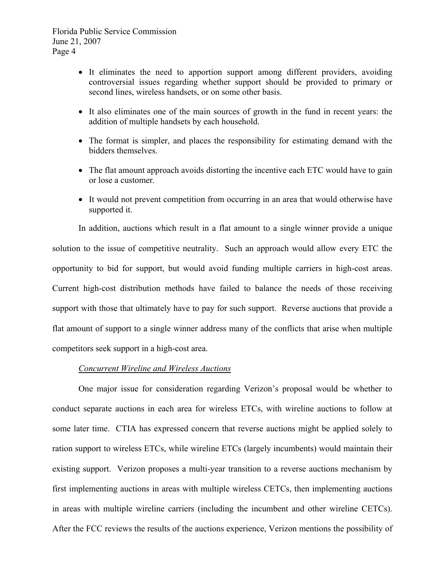- It eliminates the need to apportion support among different providers, avoiding controversial issues regarding whether support should be provided to primary or second lines, wireless handsets, or on some other basis.
- It also eliminates one of the main sources of growth in the fund in recent years: the addition of multiple handsets by each household.
- The format is simpler, and places the responsibility for estimating demand with the bidders themselves.
- The flat amount approach avoids distorting the incentive each ETC would have to gain or lose a customer.
- It would not prevent competition from occurring in an area that would otherwise have supported it.

In addition, auctions which result in a flat amount to a single winner provide a unique solution to the issue of competitive neutrality. Such an approach would allow every ETC the opportunity to bid for support, but would avoid funding multiple carriers in high-cost areas. Current high-cost distribution methods have failed to balance the needs of those receiving support with those that ultimately have to pay for such support. Reverse auctions that provide a flat amount of support to a single winner address many of the conflicts that arise when multiple competitors seek support in a high-cost area.

#### *Concurrent Wireline and Wireless Auctions*

One major issue for consideration regarding Verizon's proposal would be whether to conduct separate auctions in each area for wireless ETCs, with wireline auctions to follow at some later time. CTIA has expressed concern that reverse auctions might be applied solely to ration support to wireless ETCs, while wireline ETCs (largely incumbents) would maintain their existing support. Verizon proposes a multi-year transition to a reverse auctions mechanism by first implementing auctions in areas with multiple wireless CETCs, then implementing auctions in areas with multiple wireline carriers (including the incumbent and other wireline CETCs). After the FCC reviews the results of the auctions experience, Verizon mentions the possibility of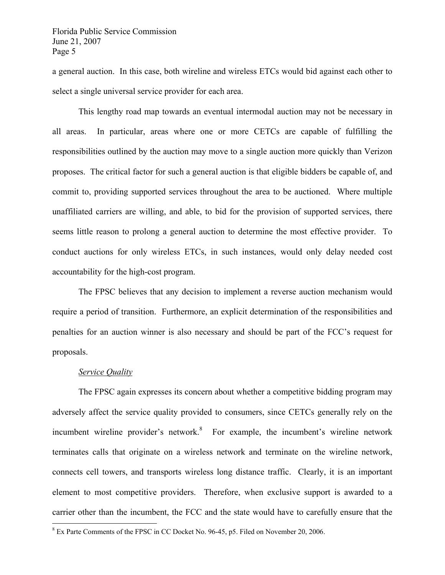a general auction. In this case, both wireline and wireless ETCs would bid against each other to select a single universal service provider for each area.

This lengthy road map towards an eventual intermodal auction may not be necessary in all areas. In particular, areas where one or more CETCs are capable of fulfilling the responsibilities outlined by the auction may move to a single auction more quickly than Verizon proposes. The critical factor for such a general auction is that eligible bidders be capable of, and commit to, providing supported services throughout the area to be auctioned. Where multiple unaffiliated carriers are willing, and able, to bid for the provision of supported services, there seems little reason to prolong a general auction to determine the most effective provider. To conduct auctions for only wireless ETCs, in such instances, would only delay needed cost accountability for the high-cost program.

The FPSC believes that any decision to implement a reverse auction mechanism would require a period of transition. Furthermore, an explicit determination of the responsibilities and penalties for an auction winner is also necessary and should be part of the FCC's request for proposals.

#### *Service Quality*

 $\overline{a}$ 

The FPSC again expresses its concern about whether a competitive bidding program may adversely affect the service quality provided to consumers, since CETCs generally rely on the incumbent wireline provider's network.<sup>8</sup> For example, the incumbent's wireline network terminates calls that originate on a wireless network and terminate on the wireline network, connects cell towers, and transports wireless long distance traffic. Clearly, it is an important element to most competitive providers. Therefore, when exclusive support is awarded to a carrier other than the incumbent, the FCC and the state would have to carefully ensure that the

<sup>&</sup>lt;sup>8</sup> Ex Parte Comments of the FPSC in CC Docket No. 96-45, p5. Filed on November 20, 2006.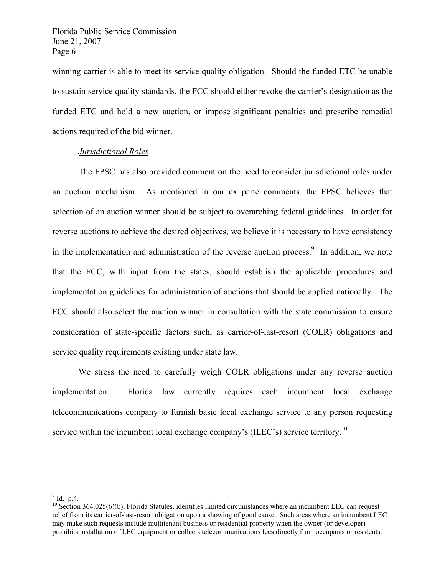winning carrier is able to meet its service quality obligation. Should the funded ETC be unable to sustain service quality standards, the FCC should either revoke the carrier's designation as the funded ETC and hold a new auction, or impose significant penalties and prescribe remedial actions required of the bid winner.

#### *Jurisdictional Roles*

The FPSC has also provided comment on the need to consider jurisdictional roles under an auction mechanism. As mentioned in our ex parte comments, the FPSC believes that selection of an auction winner should be subject to overarching federal guidelines. In order for reverse auctions to achieve the desired objectives, we believe it is necessary to have consistency in the implementation and administration of the reverse auction process. $\frac{9}{10}$  In addition, we note that the FCC, with input from the states, should establish the applicable procedures and implementation guidelines for administration of auctions that should be applied nationally. The FCC should also select the auction winner in consultation with the state commission to ensure consideration of state-specific factors such, as carrier-of-last-resort (COLR) obligations and service quality requirements existing under state law.

We stress the need to carefully weigh COLR obligations under any reverse auction implementation. Florida law currently requires each incumbent local exchange telecommunications company to furnish basic local exchange service to any person requesting service within the incumbent local exchange company's (ILEC's) service territory.<sup>10</sup>

 $9^9$  Id. p.4.

 $10$  Section 364.025(6)(b), Florida Statutes, identifies limited circumstances where an incumbent LEC can request relief from its carrier-of-last-resort obligation upon a showing of good cause. Such areas where an incumbent LEC may make such requests include multitenant business or residential property when the owner (or developer) prohibits installation of LEC equipment or collects telecommunications fees directly from occupants or residents.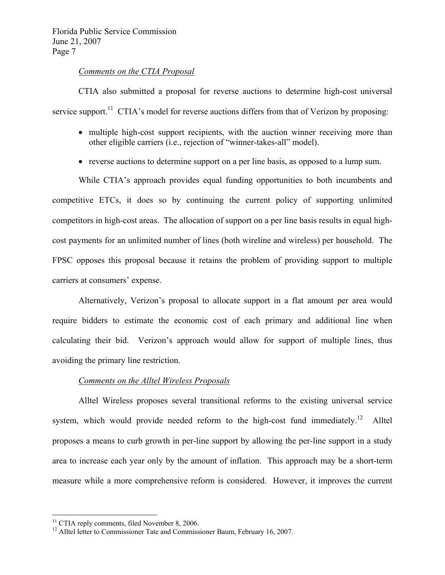#### *Comments on the CTIA Proposal*

 CTIA also submitted a proposal for reverse auctions to determine high-cost universal service support.<sup>11</sup> CTIA's model for reverse auctions differs from that of Verizon by proposing:

- multiple high-cost support recipients, with the auction winner receiving more than other eligible carriers (i.e., rejection of "winner-takes-all" model).
- reverse auctions to determine support on a per line basis, as opposed to a lump sum.

While CTIA's approach provides equal funding opportunities to both incumbents and competitive ETCs, it does so by continuing the current policy of supporting unlimited competitors in high-cost areas. The allocation of support on a per line basis results in equal highcost payments for an unlimited number of lines (both wireline and wireless) per household. The FPSC opposes this proposal because it retains the problem of providing support to multiple carriers at consumers' expense.

Alternatively, Verizon's proposal to allocate support in a flat amount per area would require bidders to estimate the economic cost of each primary and additional line when calculating their bid. Verizon's approach would allow for support of multiple lines, thus avoiding the primary line restriction.

#### *Comments on the Alltel Wireless Proposals*

Alltel Wireless proposes several transitional reforms to the existing universal service system, which would provide needed reform to the high-cost fund immediately.<sup>12</sup> Alltel proposes a means to curb growth in per-line support by allowing the per-line support in a study area to increase each year only by the amount of inflation. This approach may be a short-term measure while a more comprehensive reform is considered. However, it improves the current

 $11$  CTIA reply comments, filed November 8, 2006.

<sup>&</sup>lt;sup>12</sup> Alltel letter to Commissioner Tate and Commissioner Baum, February 16, 2007.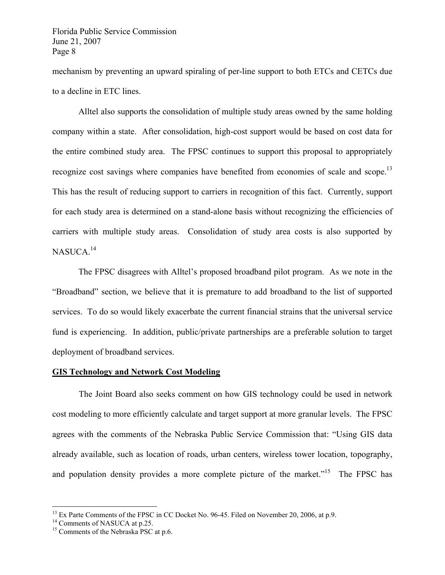mechanism by preventing an upward spiraling of per-line support to both ETCs and CETCs due to a decline in ETC lines.

Alltel also supports the consolidation of multiple study areas owned by the same holding company within a state. After consolidation, high-cost support would be based on cost data for the entire combined study area. The FPSC continues to support this proposal to appropriately recognize cost savings where companies have benefited from economies of scale and scope.<sup>13</sup> This has the result of reducing support to carriers in recognition of this fact. Currently, support for each study area is determined on a stand-alone basis without recognizing the efficiencies of carriers with multiple study areas. Consolidation of study area costs is also supported by NASUCA.<sup>14</sup>

The FPSC disagrees with Alltel's proposed broadband pilot program. As we note in the "Broadband" section, we believe that it is premature to add broadband to the list of supported services. To do so would likely exacerbate the current financial strains that the universal service fund is experiencing. In addition, public/private partnerships are a preferable solution to target deployment of broadband services.

#### **GIS Technology and Network Cost Modeling**

 The Joint Board also seeks comment on how GIS technology could be used in network cost modeling to more efficiently calculate and target support at more granular levels. The FPSC agrees with the comments of the Nebraska Public Service Commission that: "Using GIS data already available, such as location of roads, urban centers, wireless tower location, topography, and population density provides a more complete picture of the market.<sup>"15</sup> The FPSC has

<sup>&</sup>lt;sup>13</sup> Ex Parte Comments of the FPSC in CC Docket No. 96-45. Filed on November 20, 2006, at p.9.

<sup>&</sup>lt;sup>14</sup> Comments of NASUCA at p.25.

<sup>&</sup>lt;sup>15</sup> Comments of the Nebraska PSC at p.6.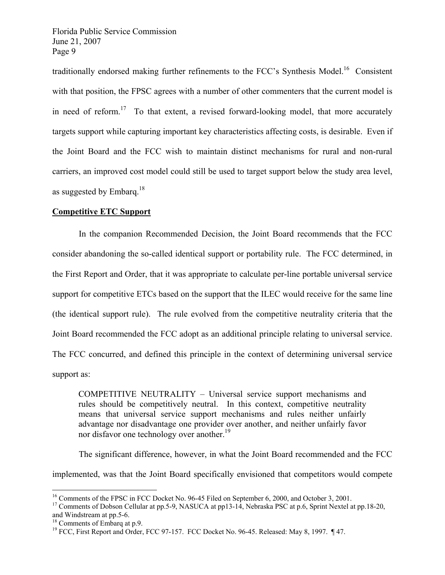traditionally endorsed making further refinements to the FCC's Synthesis Model.<sup>16</sup> Consistent with that position, the FPSC agrees with a number of other commenters that the current model is in need of reform.<sup>17</sup> To that extent, a revised forward-looking model, that more accurately targets support while capturing important key characteristics affecting costs, is desirable. Even if the Joint Board and the FCC wish to maintain distinct mechanisms for rural and non-rural carriers, an improved cost model could still be used to target support below the study area level, as suggested by Embarq.<sup>18</sup>

#### **Competitive ETC Support**

 In the companion Recommended Decision, the Joint Board recommends that the FCC consider abandoning the so-called identical support or portability rule. The FCC determined, in the First Report and Order, that it was appropriate to calculate per-line portable universal service support for competitive ETCs based on the support that the ILEC would receive for the same line (the identical support rule). The rule evolved from the competitive neutrality criteria that the Joint Board recommended the FCC adopt as an additional principle relating to universal service. The FCC concurred, and defined this principle in the context of determining universal service support as:

COMPETITIVE NEUTRALITY – Universal service support mechanisms and rules should be competitively neutral. In this context, competitive neutrality means that universal service support mechanisms and rules neither unfairly advantage nor disadvantage one provider over another, and neither unfairly favor nor disfavor one technology over another.<sup>19</sup>

 The significant difference, however, in what the Joint Board recommended and the FCC implemented, was that the Joint Board specifically envisioned that competitors would compete

<sup>&</sup>lt;sup>16</sup> Comments of the FPSC in FCC Docket No. 96-45 Filed on September 6, 2000, and October 3, 2001.<br><sup>17</sup> Comments of Dobson Cellular at pp.5-9, NASUCA at pp13-14, Nebraska PSC at p.6, Sprint Nextel at pp.18-20, and Windstream at pp.5-6.

<sup>18</sup> Comments of Embarq at p.9.

<sup>19</sup> FCC, First Report and Order, FCC 97-157. FCC Docket No. 96-45. Released: May 8, 1997. ¶ 47.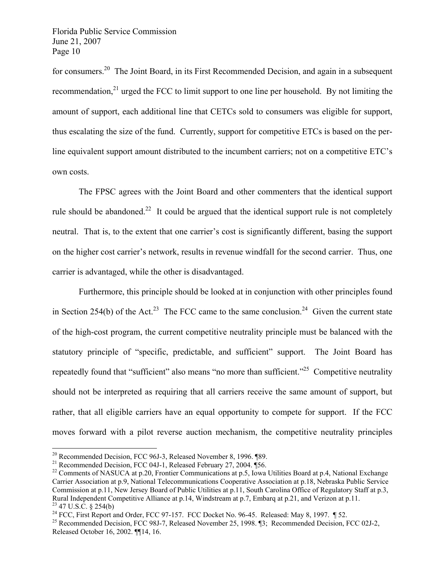for consumers.<sup>20</sup> The Joint Board, in its First Recommended Decision, and again in a subsequent recommendation, $^{21}$  urged the FCC to limit support to one line per household. By not limiting the amount of support, each additional line that CETCs sold to consumers was eligible for support, thus escalating the size of the fund. Currently, support for competitive ETCs is based on the perline equivalent support amount distributed to the incumbent carriers; not on a competitive ETC's own costs.

 The FPSC agrees with the Joint Board and other commenters that the identical support rule should be abandoned.<sup>22</sup> It could be argued that the identical support rule is not completely neutral. That is, to the extent that one carrier's cost is significantly different, basing the support on the higher cost carrier's network, results in revenue windfall for the second carrier. Thus, one carrier is advantaged, while the other is disadvantaged.

 Furthermore, this principle should be looked at in conjunction with other principles found in Section 254(b) of the Act.<sup>23</sup> The FCC came to the same conclusion.<sup>24</sup> Given the current state of the high-cost program, the current competitive neutrality principle must be balanced with the statutory principle of "specific, predictable, and sufficient" support. The Joint Board has repeatedly found that "sufficient" also means "no more than sufficient."<sup>25</sup> Competitive neutrality should not be interpreted as requiring that all carriers receive the same amount of support, but rather, that all eligible carriers have an equal opportunity to compete for support. If the FCC moves forward with a pilot reverse auction mechanism, the competitive neutrality principles

 $20$  Recommended Decision, FCC 96J-3, Released November 8, 1996. [89.]

<sup>&</sup>lt;sup>21</sup> Recommended Decision, FCC 04J-1, Released February 27, 2004.  $\frac{4}{56}$ .

<sup>&</sup>lt;sup>22</sup> Comments of NASUCA at p.20, Frontier Communications at p.5, Iowa Utilities Board at p.4, National Exchange Carrier Association at p.9, National Telecommunications Cooperative Association at p.18, Nebraska Public Service Commission at p.11, New Jersey Board of Public Utilities at p.11, South Carolina Office of Regulatory Staff at p.3, Rural Independent Competitive Alliance at p.14, Windstream at p.7, Embarq at p.21, and Verizon at p.11.  $^{23}$  47 U.S.C. § 254(b)

<sup>&</sup>lt;sup>24</sup> FCC, First Report and Order, FCC 97-157. FCC Docket No. 96-45. Released: May 8, 1997.  $\parallel$  52.

<sup>&</sup>lt;sup>25</sup> Recommended Decision, FCC 98J-7, Released November 25, 1998. ¶3; Recommended Decision, FCC 02J-2, Released October 16, 2002. ¶¶14, 16.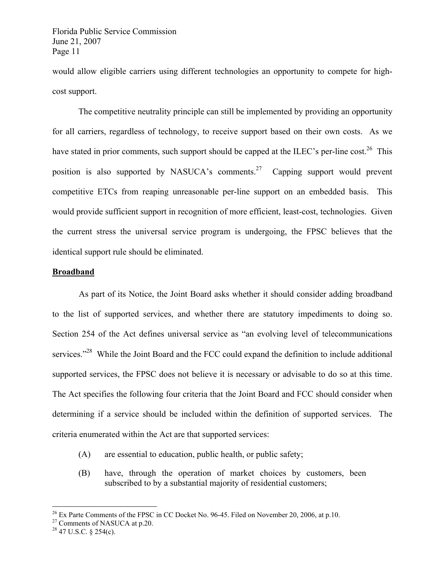would allow eligible carriers using different technologies an opportunity to compete for highcost support.

 The competitive neutrality principle can still be implemented by providing an opportunity for all carriers, regardless of technology, to receive support based on their own costs. As we have stated in prior comments, such support should be capped at the ILEC's per-line cost.<sup>26</sup> This position is also supported by NASUCA's comments.<sup>27</sup> Capping support would prevent competitive ETCs from reaping unreasonable per-line support on an embedded basis. This would provide sufficient support in recognition of more efficient, least-cost, technologies. Given the current stress the universal service program is undergoing, the FPSC believes that the identical support rule should be eliminated.

#### **Broadband**

 As part of its Notice, the Joint Board asks whether it should consider adding broadband to the list of supported services, and whether there are statutory impediments to doing so. Section 254 of the Act defines universal service as "an evolving level of telecommunications services."<sup>28</sup> While the Joint Board and the FCC could expand the definition to include additional supported services, the FPSC does not believe it is necessary or advisable to do so at this time. The Act specifies the following four criteria that the Joint Board and FCC should consider when determining if a service should be included within the definition of supported services. The criteria enumerated within the Act are that supported services:

- (A) are essential to education, public health, or public safety;
- (B) have, through the operation of market choices by customers, been subscribed to by a substantial majority of residential customers;

 $^{26}$  Ex Parte Comments of the FPSC in CC Docket No. 96-45. Filed on November 20, 2006, at p.10.

 $27$  Comments of NASUCA at p.20.

 $^{28}$  47 U.S.C. § 254(c).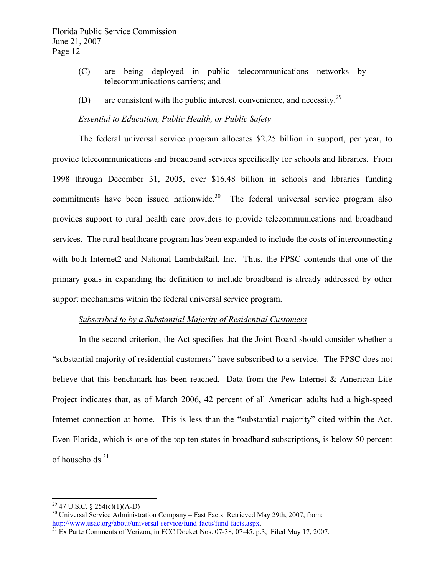- (C) are being deployed in public telecommunications networks by telecommunications carriers; and
- (D) are consistent with the public interest, convenience, and necessity.<sup>29</sup>

#### *Essential to Education, Public Health, or Public Safety*

 The federal universal service program allocates \$2.25 billion in support, per year, to provide telecommunications and broadband services specifically for schools and libraries. From 1998 through December 31, 2005, over \$16.48 billion in schools and libraries funding commitments have been issued nationwide. $30$  The federal universal service program also provides support to rural health care providers to provide telecommunications and broadband services. The rural healthcare program has been expanded to include the costs of interconnecting with both Internet2 and National LambdaRail, Inc. Thus, the FPSC contends that one of the primary goals in expanding the definition to include broadband is already addressed by other support mechanisms within the federal universal service program.

#### *Subscribed to by a Substantial Majority of Residential Customers*

 In the second criterion, the Act specifies that the Joint Board should consider whether a "substantial majority of residential customers" have subscribed to a service. The FPSC does not believe that this benchmark has been reached. Data from the Pew Internet & American Life Project indicates that, as of March 2006, 42 percent of all American adults had a high-speed Internet connection at home. This is less than the "substantial majority" cited within the Act. Even Florida, which is one of the top ten states in broadband subscriptions, is below 50 percent of households.<sup>31</sup>

<sup>&</sup>lt;sup>29</sup> 47 U.S.C. § 254(c)(1)(A-D)

<sup>&</sup>lt;sup>30</sup> Universal Service Administration Company – Fast Facts: Retrieved May 29th, 2007, from: http://www.usac.org/about/universal-service/fund-facts/fund-facts.aspx.<br><sup>31</sup> Ex Parte Comments of Verizon, in FCC Docket Nos. 07-38, 07-45. p.3, Filed May 17, 2007.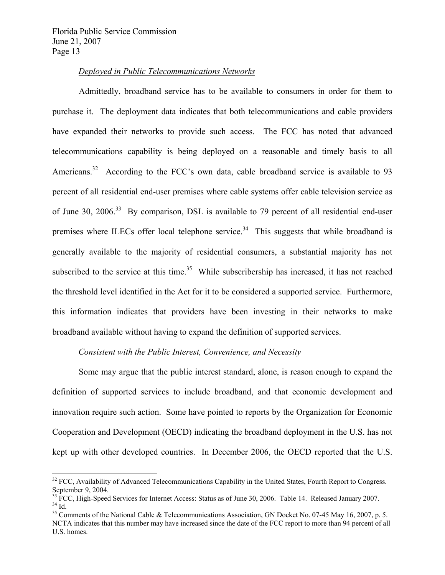$\overline{a}$ 

#### *Deployed in Public Telecommunications Networks*

 Admittedly, broadband service has to be available to consumers in order for them to purchase it. The deployment data indicates that both telecommunications and cable providers have expanded their networks to provide such access. The FCC has noted that advanced telecommunications capability is being deployed on a reasonable and timely basis to all Americans.<sup>32</sup> According to the FCC's own data, cable broadband service is available to 93 percent of all residential end-user premises where cable systems offer cable television service as of June 30, 2006.<sup>33</sup> By comparison, DSL is available to 79 percent of all residential end-user premises where ILECs offer local telephone service.<sup>34</sup> This suggests that while broadband is generally available to the majority of residential consumers, a substantial majority has not subscribed to the service at this time.<sup>35</sup> While subscribership has increased, it has not reached the threshold level identified in the Act for it to be considered a supported service. Furthermore, this information indicates that providers have been investing in their networks to make broadband available without having to expand the definition of supported services.

#### *Consistent with the Public Interest, Convenience, and Necessity*

 Some may argue that the public interest standard, alone, is reason enough to expand the definition of supported services to include broadband, and that economic development and innovation require such action. Some have pointed to reports by the Organization for Economic Cooperation and Development (OECD) indicating the broadband deployment in the U.S. has not kept up with other developed countries. In December 2006, the OECD reported that the U.S.

<sup>&</sup>lt;sup>32</sup> FCC, Availability of Advanced Telecommunications Capability in the United States, Fourth Report to Congress. September 9, 2004.

 $33$  FCC, High-Speed Services for Internet Access: Status as of June 30, 2006. Table 14. Released January 2007.  $34$  Id.

<sup>&</sup>lt;sup>35</sup> Comments of the National Cable & Telecommunications Association, GN Docket No. 07-45 May 16, 2007, p. 5. NCTA indicates that this number may have increased since the date of the FCC report to more than 94 percent of all U.S. homes.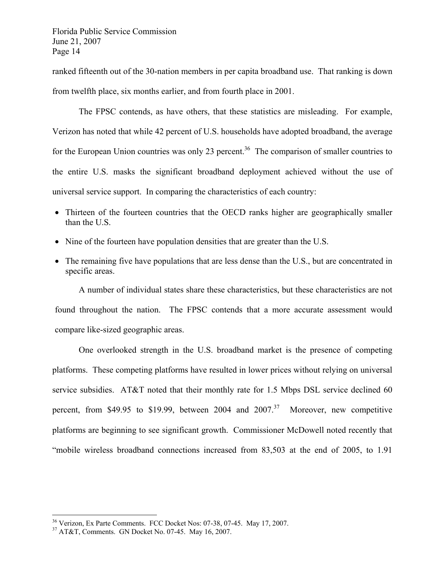ranked fifteenth out of the 30-nation members in per capita broadband use. That ranking is down from twelfth place, six months earlier, and from fourth place in 2001.

 The FPSC contends, as have others, that these statistics are misleading. For example, Verizon has noted that while 42 percent of U.S. households have adopted broadband, the average for the European Union countries was only 23 percent.<sup>36</sup> The comparison of smaller countries to the entire U.S. masks the significant broadband deployment achieved without the use of universal service support. In comparing the characteristics of each country:

- Thirteen of the fourteen countries that the OECD ranks higher are geographically smaller than the U.S.
- Nine of the fourteen have population densities that are greater than the U.S.
- The remaining five have populations that are less dense than the U.S., but are concentrated in specific areas.

 A number of individual states share these characteristics, but these characteristics are not found throughout the nation. The FPSC contends that a more accurate assessment would compare like-sized geographic areas.

 One overlooked strength in the U.S. broadband market is the presence of competing platforms. These competing platforms have resulted in lower prices without relying on universal service subsidies. AT&T noted that their monthly rate for 1.5 Mbps DSL service declined 60 percent, from \$49.95 to \$19.99, between 2004 and  $2007$ .<sup>37</sup> Moreover, new competitive platforms are beginning to see significant growth. Commissioner McDowell noted recently that "mobile wireless broadband connections increased from 83,503 at the end of 2005, to 1.91

<sup>36</sup> Verizon, Ex Parte Comments. FCC Docket Nos: 07-38, 07-45. May 17, 2007.

<sup>37</sup> AT&T, Comments. GN Docket No. 07-45. May 16, 2007.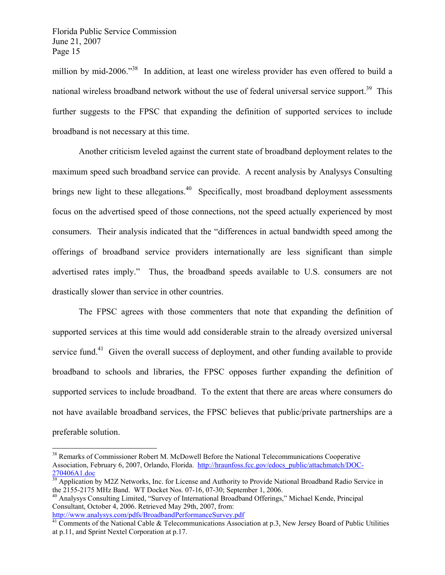million by mid-2006.<sup>38</sup> In addition, at least one wireless provider has even offered to build a national wireless broadband network without the use of federal universal service support.<sup>39</sup> This further suggests to the FPSC that expanding the definition of supported services to include broadband is not necessary at this time.

 Another criticism leveled against the current state of broadband deployment relates to the maximum speed such broadband service can provide. A recent analysis by Analysys Consulting brings new light to these allegations.<sup>40</sup> Specifically, most broadband deployment assessments focus on the advertised speed of those connections, not the speed actually experienced by most consumers. Their analysis indicated that the "differences in actual bandwidth speed among the offerings of broadband service providers internationally are less significant than simple advertised rates imply." Thus, the broadband speeds available to U.S. consumers are not drastically slower than service in other countries.

 The FPSC agrees with those commenters that note that expanding the definition of supported services at this time would add considerable strain to the already oversized universal service fund.<sup>41</sup> Given the overall success of deployment, and other funding available to provide broadband to schools and libraries, the FPSC opposes further expanding the definition of supported services to include broadband. To the extent that there are areas where consumers do not have available broadband services, the FPSC believes that public/private partnerships are a preferable solution.

<sup>&</sup>lt;sup>38</sup> Remarks of Commissioner Robert M. McDowell Before the National Telecommunications Cooperative Association, February 6, 2007, Orlando, Florida. http://hraunfoss.fcc.gov/edocs\_public/attachmatch/DOC-270406A1.doc<br><sup>39</sup> Application by M2Z Networks, Inc. for License and Authority to Provide National Broadband Radio Service in

the 2155-2175 MHz Band. WT Docket Nos. 07-16, 07-30; September 1, 2006.

<sup>&</sup>lt;sup>40</sup> Analysys Consulting Limited, "Survey of International Broadband Offerings," Michael Kende, Principal Consultant, October 4, 2006. Retrieved May 29th, 2007, from:<br>http://www.analysys.com/pdfs/BroadbandPerformanceSurvey.pdf

 $\frac{41}{11}$  Comments of the National Cable & Telecommunications Association at p.3, New Jersey Board of Public Utilities at p.11, and Sprint Nextel Corporation at p.17.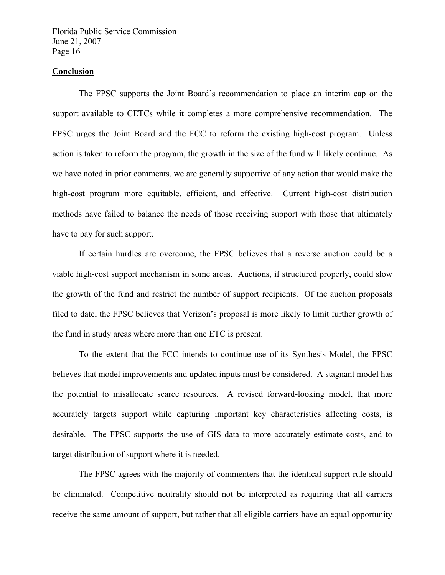#### **Conclusion**

 The FPSC supports the Joint Board's recommendation to place an interim cap on the support available to CETCs while it completes a more comprehensive recommendation. The FPSC urges the Joint Board and the FCC to reform the existing high-cost program. Unless action is taken to reform the program, the growth in the size of the fund will likely continue. As we have noted in prior comments, we are generally supportive of any action that would make the high-cost program more equitable, efficient, and effective. Current high-cost distribution methods have failed to balance the needs of those receiving support with those that ultimately have to pay for such support.

 If certain hurdles are overcome, the FPSC believes that a reverse auction could be a viable high-cost support mechanism in some areas. Auctions, if structured properly, could slow the growth of the fund and restrict the number of support recipients. Of the auction proposals filed to date, the FPSC believes that Verizon's proposal is more likely to limit further growth of the fund in study areas where more than one ETC is present.

 To the extent that the FCC intends to continue use of its Synthesis Model, the FPSC believes that model improvements and updated inputs must be considered. A stagnant model has the potential to misallocate scarce resources. A revised forward-looking model, that more accurately targets support while capturing important key characteristics affecting costs, is desirable. The FPSC supports the use of GIS data to more accurately estimate costs, and to target distribution of support where it is needed.

 The FPSC agrees with the majority of commenters that the identical support rule should be eliminated. Competitive neutrality should not be interpreted as requiring that all carriers receive the same amount of support, but rather that all eligible carriers have an equal opportunity